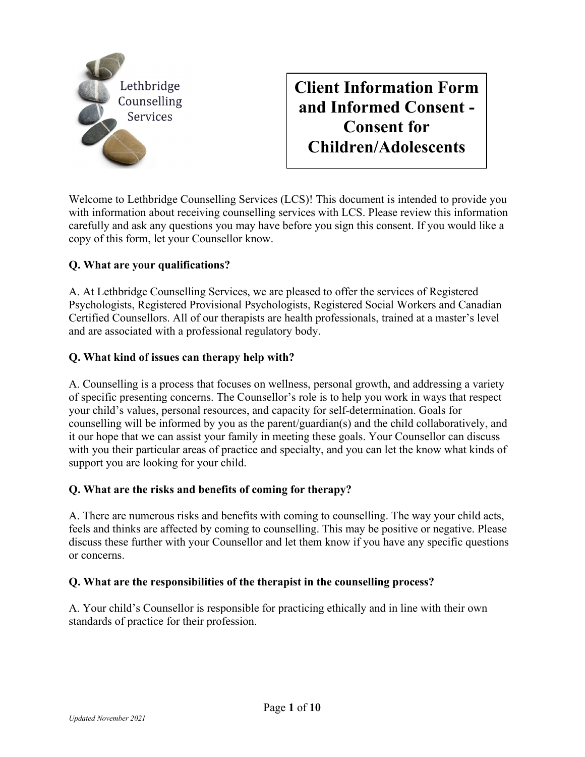

# **Client Information Form and Informed Consent - Consent for Children/Adolescents**

Welcome to Lethbridge Counselling Services (LCS)! This document is intended to provide you with information about receiving counselling services with LCS. Please review this information carefully and ask any questions you may have before you sign this consent. If you would like a copy of this form, let your Counsellor know.

## **Q. What are your qualifications?**

A. At Lethbridge Counselling Services, we are pleased to offer the services of Registered Psychologists, Registered Provisional Psychologists, Registered Social Workers and Canadian Certified Counsellors. All of our therapists are health professionals, trained at a master's level and are associated with a professional regulatory body.

#### **Q. What kind of issues can therapy help with?**

A. Counselling is a process that focuses on wellness, personal growth, and addressing a variety of specific presenting concerns. The Counsellor's role is to help you work in ways that respect your child's values, personal resources, and capacity for self-determination. Goals for counselling will be informed by you as the parent/guardian(s) and the child collaboratively, and it our hope that we can assist your family in meeting these goals. Your Counsellor can discuss with you their particular areas of practice and specialty, and you can let the know what kinds of support you are looking for your child.

#### **Q. What are the risks and benefits of coming for therapy?**

A. There are numerous risks and benefits with coming to counselling. The way your child acts, feels and thinks are affected by coming to counselling. This may be positive or negative. Please discuss these further with your Counsellor and let them know if you have any specific questions or concerns.

#### **Q. What are the responsibilities of the therapist in the counselling process?**

A. Your child's Counsellor is responsible for practicing ethically and in line with their own standards of practice for their profession.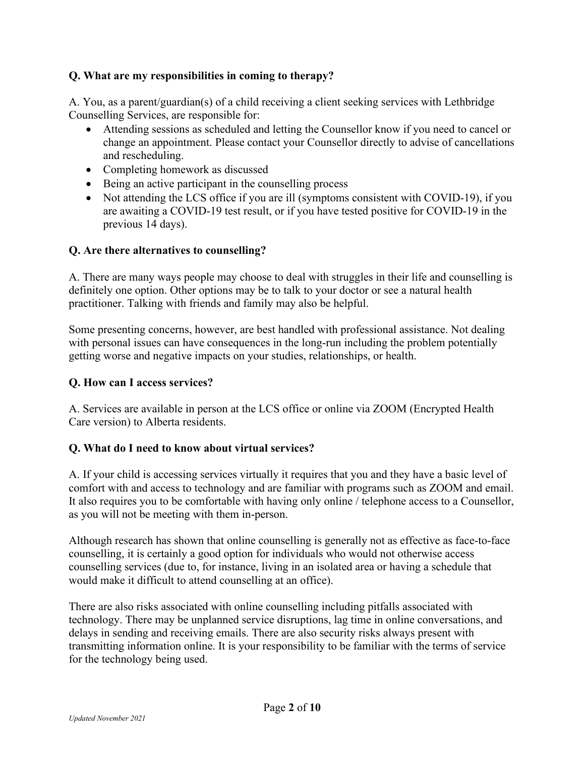## **Q. What are my responsibilities in coming to therapy?**

A. You, as a parent/guardian(s) of a child receiving a client seeking services with Lethbridge Counselling Services, are responsible for:

- Attending sessions as scheduled and letting the Counsellor know if you need to cancel or change an appointment. Please contact your Counsellor directly to advise of cancellations and rescheduling.
- Completing homework as discussed
- Being an active participant in the counselling process
- Not attending the LCS office if you are ill (symptoms consistent with COVID-19), if you are awaiting a COVID-19 test result, or if you have tested positive for COVID-19 in the previous 14 days).

#### **Q. Are there alternatives to counselling?**

A. There are many ways people may choose to deal with struggles in their life and counselling is definitely one option. Other options may be to talk to your doctor or see a natural health practitioner. Talking with friends and family may also be helpful.

Some presenting concerns, however, are best handled with professional assistance. Not dealing with personal issues can have consequences in the long-run including the problem potentially getting worse and negative impacts on your studies, relationships, or health.

### **Q. How can I access services?**

A. Services are available in person at the LCS office or online via ZOOM (Encrypted Health Care version) to Alberta residents.

#### **Q. What do I need to know about virtual services?**

A. If your child is accessing services virtually it requires that you and they have a basic level of comfort with and access to technology and are familiar with programs such as ZOOM and email. It also requires you to be comfortable with having only online / telephone access to a Counsellor, as you will not be meeting with them in-person.

Although research has shown that online counselling is generally not as effective as face-to-face counselling, it is certainly a good option for individuals who would not otherwise access counselling services (due to, for instance, living in an isolated area or having a schedule that would make it difficult to attend counselling at an office).

There are also risks associated with online counselling including pitfalls associated with technology. There may be unplanned service disruptions, lag time in online conversations, and delays in sending and receiving emails. There are also security risks always present with transmitting information online. It is your responsibility to be familiar with the terms of service for the technology being used.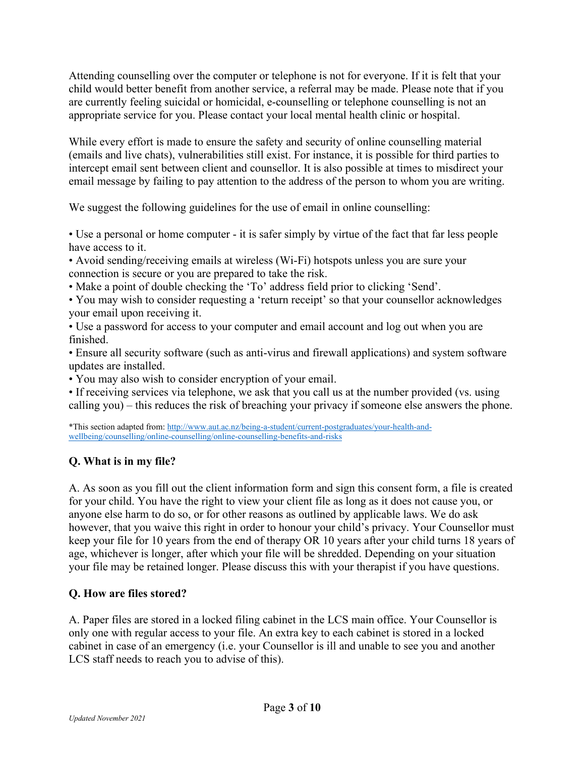Attending counselling over the computer or telephone is not for everyone. If it is felt that your child would better benefit from another service, a referral may be made. Please note that if you are currently feeling suicidal or homicidal, e-counselling or telephone counselling is not an appropriate service for you. Please contact your local mental health clinic or hospital.

While every effort is made to ensure the safety and security of online counselling material (emails and live chats), vulnerabilities still exist. For instance, it is possible for third parties to intercept email sent between client and counsellor. It is also possible at times to misdirect your email message by failing to pay attention to the address of the person to whom you are writing.

We suggest the following guidelines for the use of email in online counselling:

• Use a personal or home computer - it is safer simply by virtue of the fact that far less people have access to it.

• Avoid sending/receiving emails at wireless (Wi-Fi) hotspots unless you are sure your connection is secure or you are prepared to take the risk.

• Make a point of double checking the 'To' address field prior to clicking 'Send'.

• You may wish to consider requesting a 'return receipt' so that your counsellor acknowledges your email upon receiving it.

• Use a password for access to your computer and email account and log out when you are finished.

• Ensure all security software (such as anti-virus and firewall applications) and system software updates are installed.

• You may also wish to consider encryption of your email.

• If receiving services via telephone, we ask that you call us at the number provided (vs. using calling you) – this reduces the risk of breaching your privacy if someone else answers the phone.

\*This section adapted from: [http://www.aut.ac.nz/being-a-student/current-postgraduates/your-health-and](http://www.aut.ac.nz/being-a-student/current-postgraduates/your-health-and-wellbeing/counselling/online-counselling/online-counselling-benefits-and-risks)[wellbeing/counselling/online-counselling/online-counselling-benefits-and-risks](http://www.aut.ac.nz/being-a-student/current-postgraduates/your-health-and-wellbeing/counselling/online-counselling/online-counselling-benefits-and-risks)

# **Q. What is in my file?**

A. As soon as you fill out the client information form and sign this consent form, a file is created for your child. You have the right to view your client file as long as it does not cause you, or anyone else harm to do so, or for other reasons as outlined by applicable laws. We do ask however, that you waive this right in order to honour your child's privacy. Your Counsellor must keep your file for 10 years from the end of therapy OR 10 years after your child turns 18 years of age, whichever is longer, after which your file will be shredded. Depending on your situation your file may be retained longer. Please discuss this with your therapist if you have questions.

## **Q. How are files stored?**

A. Paper files are stored in a locked filing cabinet in the LCS main office. Your Counsellor is only one with regular access to your file. An extra key to each cabinet is stored in a locked cabinet in case of an emergency (i.e. your Counsellor is ill and unable to see you and another LCS staff needs to reach you to advise of this).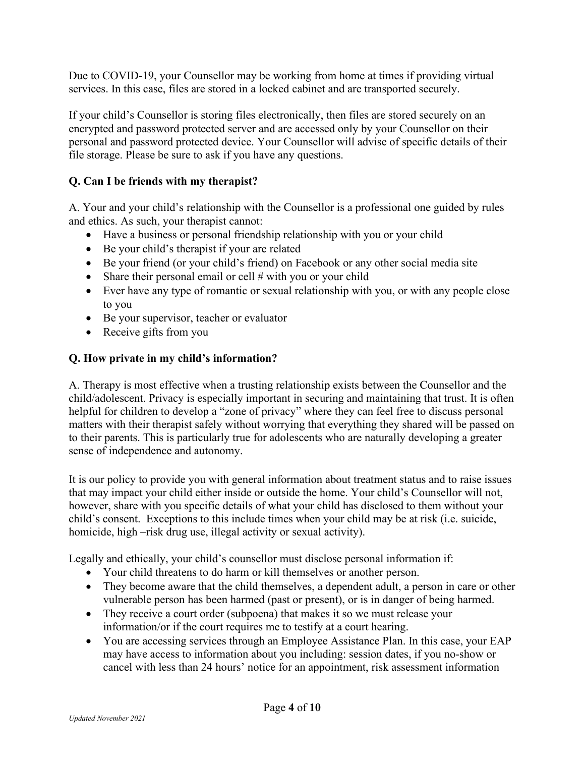Due to COVID-19, your Counsellor may be working from home at times if providing virtual services. In this case, files are stored in a locked cabinet and are transported securely.

If your child's Counsellor is storing files electronically, then files are stored securely on an encrypted and password protected server and are accessed only by your Counsellor on their personal and password protected device. Your Counsellor will advise of specific details of their file storage. Please be sure to ask if you have any questions.

# **Q. Can I be friends with my therapist?**

A. Your and your child's relationship with the Counsellor is a professional one guided by rules and ethics. As such, your therapist cannot:

- Have a business or personal friendship relationship with you or your child
- Be your child's therapist if your are related
- Be your friend (or your child's friend) on Facebook or any other social media site
- Share their personal email or cell  $#$  with you or your child
- Ever have any type of romantic or sexual relationship with you, or with any people close to you
- Be your supervisor, teacher or evaluator
- Receive gifts from you

## **Q. How private in my child's information?**

A. Therapy is most effective when a trusting relationship exists between the Counsellor and the child/adolescent. Privacy is especially important in securing and maintaining that trust. It is often helpful for children to develop a "zone of privacy" where they can feel free to discuss personal matters with their therapist safely without worrying that everything they shared will be passed on to their parents. This is particularly true for adolescents who are naturally developing a greater sense of independence and autonomy.

It is our policy to provide you with general information about treatment status and to raise issues that may impact your child either inside or outside the home. Your child's Counsellor will not, however, share with you specific details of what your child has disclosed to them without your child's consent. Exceptions to this include times when your child may be at risk (i.e. suicide, homicide, high –risk drug use, illegal activity or sexual activity).

Legally and ethically, your child's counsellor must disclose personal information if:

- Your child threatens to do harm or kill themselves or another person.
- They become aware that the child themselves, a dependent adult, a person in care or other vulnerable person has been harmed (past or present), or is in danger of being harmed.
- They receive a court order (subpoena) that makes it so we must release your information/or if the court requires me to testify at a court hearing.
- You are accessing services through an Employee Assistance Plan. In this case, your EAP may have access to information about you including: session dates, if you no-show or cancel with less than 24 hours' notice for an appointment, risk assessment information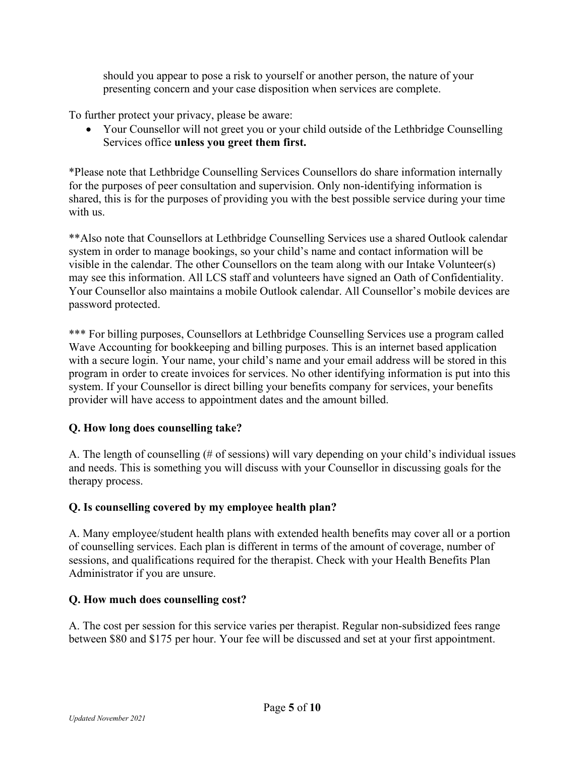should you appear to pose a risk to yourself or another person, the nature of your presenting concern and your case disposition when services are complete.

To further protect your privacy, please be aware:

• Your Counsellor will not greet you or your child outside of the Lethbridge Counselling Services office **unless you greet them first.**

\*Please note that Lethbridge Counselling Services Counsellors do share information internally for the purposes of peer consultation and supervision. Only non-identifying information is shared, this is for the purposes of providing you with the best possible service during your time with us.

\*\*Also note that Counsellors at Lethbridge Counselling Services use a shared Outlook calendar system in order to manage bookings, so your child's name and contact information will be visible in the calendar. The other Counsellors on the team along with our Intake Volunteer(s) may see this information. All LCS staff and volunteers have signed an Oath of Confidentiality. Your Counsellor also maintains a mobile Outlook calendar. All Counsellor's mobile devices are password protected.

\*\*\* For billing purposes, Counsellors at Lethbridge Counselling Services use a program called Wave Accounting for bookkeeping and billing purposes. This is an internet based application with a secure login. Your name, your child's name and your email address will be stored in this program in order to create invoices for services. No other identifying information is put into this system. If your Counsellor is direct billing your benefits company for services, your benefits provider will have access to appointment dates and the amount billed.

## **Q. How long does counselling take?**

A. The length of counselling (# of sessions) will vary depending on your child's individual issues and needs. This is something you will discuss with your Counsellor in discussing goals for the therapy process.

#### **Q. Is counselling covered by my employee health plan?**

A. Many employee/student health plans with extended health benefits may cover all or a portion of counselling services. Each plan is different in terms of the amount of coverage, number of sessions, and qualifications required for the therapist. Check with your Health Benefits Plan Administrator if you are unsure.

#### **Q. How much does counselling cost?**

A. The cost per session for this service varies per therapist. Regular non-subsidized fees range between \$80 and \$175 per hour. Your fee will be discussed and set at your first appointment.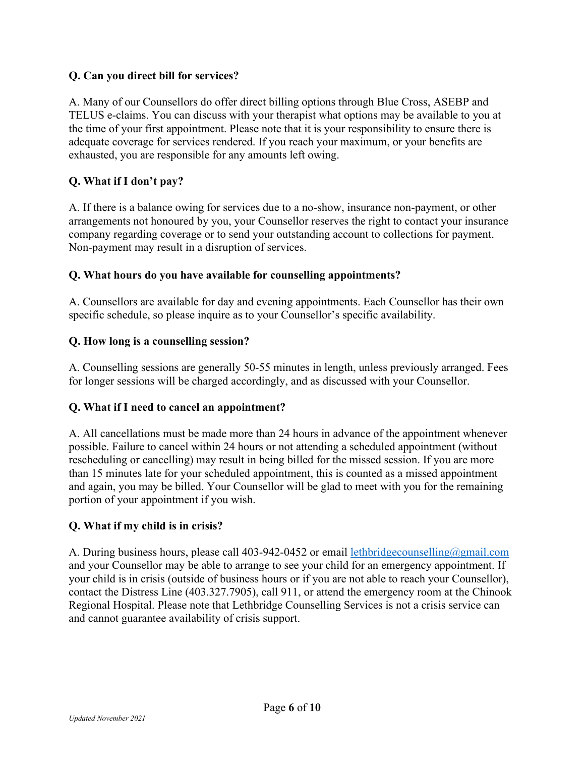## **Q. Can you direct bill for services?**

A. Many of our Counsellors do offer direct billing options through Blue Cross, ASEBP and TELUS e-claims. You can discuss with your therapist what options may be available to you at the time of your first appointment. Please note that it is your responsibility to ensure there is adequate coverage for services rendered. If you reach your maximum, or your benefits are exhausted, you are responsible for any amounts left owing.

## **Q. What if I don't pay?**

A. If there is a balance owing for services due to a no-show, insurance non-payment, or other arrangements not honoured by you, your Counsellor reserves the right to contact your insurance company regarding coverage or to send your outstanding account to collections for payment. Non-payment may result in a disruption of services.

#### **Q. What hours do you have available for counselling appointments?**

A. Counsellors are available for day and evening appointments. Each Counsellor has their own specific schedule, so please inquire as to your Counsellor's specific availability.

## **Q. How long is a counselling session?**

A. Counselling sessions are generally 50-55 minutes in length, unless previously arranged. Fees for longer sessions will be charged accordingly, and as discussed with your Counsellor.

#### **Q. What if I need to cancel an appointment?**

A. All cancellations must be made more than 24 hours in advance of the appointment whenever possible. Failure to cancel within 24 hours or not attending a scheduled appointment (without rescheduling or cancelling) may result in being billed for the missed session. If you are more than 15 minutes late for your scheduled appointment, this is counted as a missed appointment and again, you may be billed. Your Counsellor will be glad to meet with you for the remaining portion of your appointment if you wish.

## **Q. What if my child is in crisis?**

A. During business hours, please call 403-942-0452 or email lethbridge counselling @gmail.com and your Counsellor may be able to arrange to see your child for an emergency appointment. If your child is in crisis (outside of business hours or if you are not able to reach your Counsellor), contact the Distress Line (403.327.7905), call 911, or attend the emergency room at the Chinook Regional Hospital. Please note that Lethbridge Counselling Services is not a crisis service can and cannot guarantee availability of crisis support.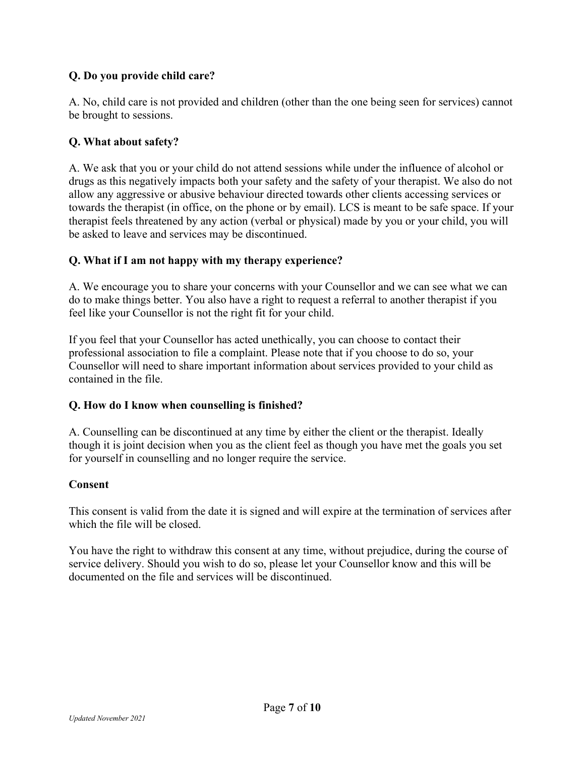## **Q. Do you provide child care?**

A. No, child care is not provided and children (other than the one being seen for services) cannot be brought to sessions.

### **Q. What about safety?**

A. We ask that you or your child do not attend sessions while under the influence of alcohol or drugs as this negatively impacts both your safety and the safety of your therapist. We also do not allow any aggressive or abusive behaviour directed towards other clients accessing services or towards the therapist (in office, on the phone or by email). LCS is meant to be safe space. If your therapist feels threatened by any action (verbal or physical) made by you or your child, you will be asked to leave and services may be discontinued.

#### **Q. What if I am not happy with my therapy experience?**

A. We encourage you to share your concerns with your Counsellor and we can see what we can do to make things better. You also have a right to request a referral to another therapist if you feel like your Counsellor is not the right fit for your child.

If you feel that your Counsellor has acted unethically, you can choose to contact their professional association to file a complaint. Please note that if you choose to do so, your Counsellor will need to share important information about services provided to your child as contained in the file.

#### **Q. How do I know when counselling is finished?**

A. Counselling can be discontinued at any time by either the client or the therapist. Ideally though it is joint decision when you as the client feel as though you have met the goals you set for yourself in counselling and no longer require the service.

#### **Consent**

This consent is valid from the date it is signed and will expire at the termination of services after which the file will be closed.

You have the right to withdraw this consent at any time, without prejudice, during the course of service delivery. Should you wish to do so, please let your Counsellor know and this will be documented on the file and services will be discontinued.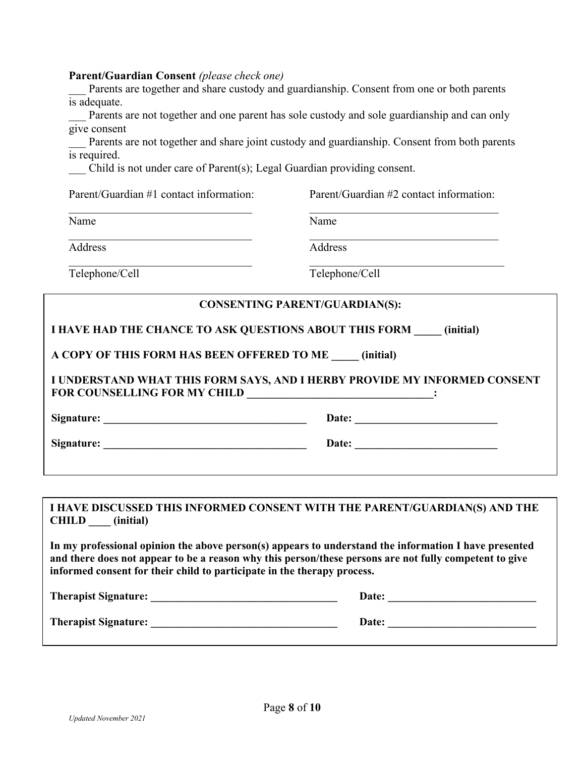#### **Parent/Guardian Consent** *(please check one)*

Parents are together and share custody and guardianship. Consent from one or both parents is adequate.

Parents are not together and one parent has sole custody and sole guardianship and can only give consent

Parents are not together and share joint custody and guardianship. Consent from both parents is required.

Parent/Guardian #1 contact information: Parent/Guardian #2 contact information:  $\overline{\phantom{a}}$  , and the contribution of the contribution of the contribution of the contribution of the contribution of the contribution of the contribution of the contribution of the contribution of the contribution of the

\_\_\_ Child is not under care of Parent(s); Legal Guardian providing consent.

| Name                                                 | Name                                                                |  |  |
|------------------------------------------------------|---------------------------------------------------------------------|--|--|
| Address                                              | Address                                                             |  |  |
| Telephone/Cell                                       | Telephone/Cell                                                      |  |  |
|                                                      | <b>CONSENTING PARENT/GUARDIAN(S):</b>                               |  |  |
|                                                      |                                                                     |  |  |
|                                                      | I HAVE HAD THE CHANCE TO ASK QUESTIONS ABOUT THIS FORM<br>(initial) |  |  |
| A COPY OF THIS FORM HAS BEEN OFFERED TO ME (initial) |                                                                     |  |  |

**Signature: \_\_\_\_\_\_\_\_\_\_\_\_\_\_\_\_\_\_\_\_\_\_\_\_\_\_\_\_\_\_\_\_\_\_\_\_\_ Date: \_\_\_\_\_\_\_\_\_\_\_\_\_\_\_\_\_\_\_\_\_\_\_\_\_\_** 

**Signature:**  $\qquad \qquad$  Date:

#### **I HAVE DISCUSSED THIS INFORMED CONSENT WITH THE PARENT/GUARDIAN(S) AND THE CHILD \_\_\_\_ (initial)**

**In my professional opinion the above person(s) appears to understand the information I have presented and there does not appear to be a reason why this person/these persons are not fully competent to give informed consent for their child to participate in the therapy process.**

| <b>Therapist Signature:</b> | Date: |
|-----------------------------|-------|
| <b>Therapist Signature:</b> | Date: |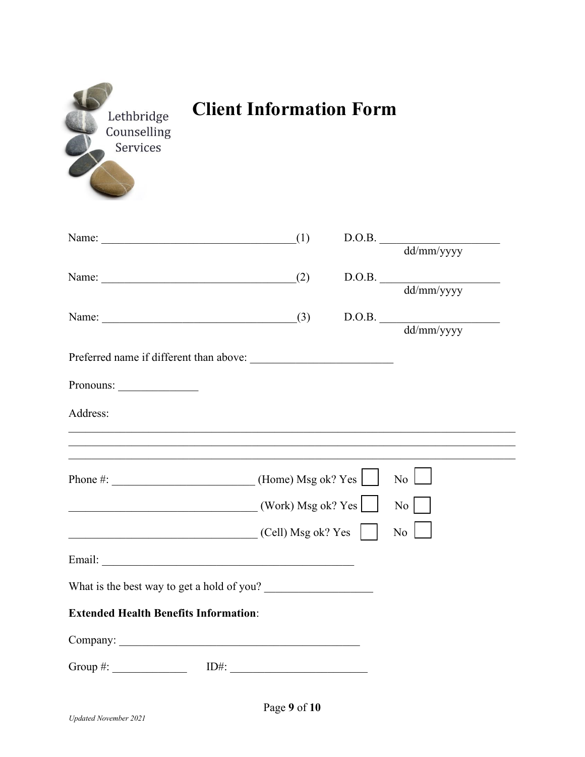| Lethbridge<br>Counselling<br>Services        | <b>Client Information Form</b> |                                                                                   |  |
|----------------------------------------------|--------------------------------|-----------------------------------------------------------------------------------|--|
| Name: $(1)$                                  |                                | $\begin{tabular}{c} D.O.B. \\ \hline\hline dd/mm/y y y y \end{tabular}$           |  |
|                                              |                                |                                                                                   |  |
| Name: $(2)$                                  |                                | $\begin{tabular}{c} D.O.B. \\ \hline\hline dd/mm/y y y y \end{tabular}$           |  |
|                                              |                                |                                                                                   |  |
| Name: $(3)$                                  |                                | $\begin{tabular}{c} D.O.B. \\ \hline\hline\text{dd/mm/yyyy} \end{tabular}$        |  |
|                                              |                                |                                                                                   |  |
|                                              |                                |                                                                                   |  |
| Pronouns:                                    |                                |                                                                                   |  |
| Address:                                     |                                |                                                                                   |  |
|                                              |                                | ,我们也不能在这里的人,我们也不能在这里的人,我们也不能在这里的人,我们也不能在这里的人,我们也不能在这里的人,我们也不能在这里的人,我们也不能在这里的人,我们也 |  |
|                                              |                                |                                                                                   |  |
| Phone #: $\qquad \qquad$ (Home) Msg ok? Yes  |                                | $\overline{N_{0}}$                                                                |  |
|                                              | (Work) Msg ok? Yes             | No                                                                                |  |
|                                              |                                |                                                                                   |  |
| $\overline{\text{[Cell]}}$ Msg ok? Yes       |                                | $\overline{N_0}$                                                                  |  |
|                                              |                                |                                                                                   |  |
| What is the best way to get a hold of you?   |                                |                                                                                   |  |
| <b>Extended Health Benefits Information:</b> |                                |                                                                                   |  |
|                                              |                                |                                                                                   |  |
|                                              |                                |                                                                                   |  |